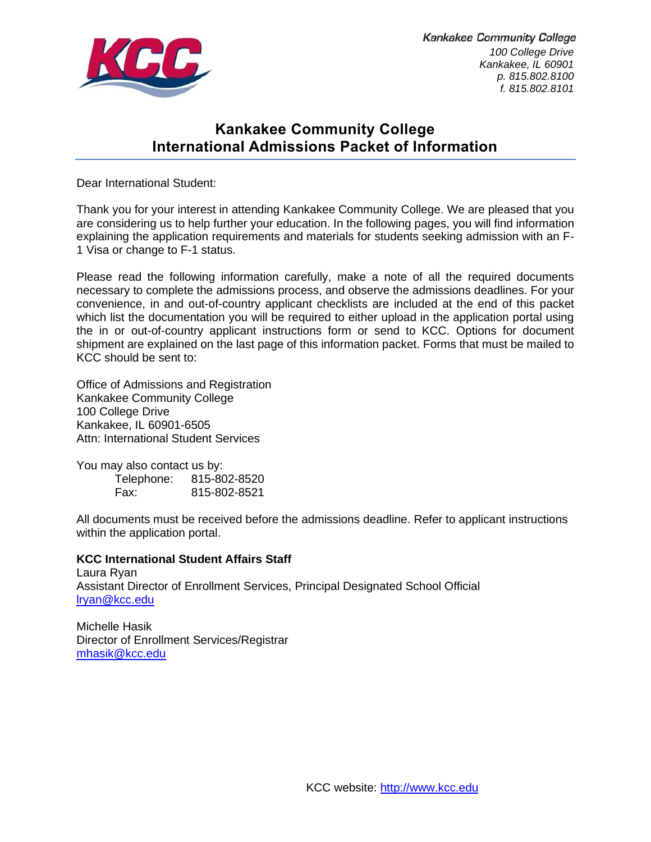

**Kankakee Community College** *100 College Drive Kankakee, IL 60901 p. 815.802.8100 f. 815.802.8101*

# **Kankakee Community College International Admissions Packet of Information**

Dear International Student:

Thank you for your interest in attending Kankakee Community College. We are pleased that you are considering us to help further your education. In the following pages, you will find information explaining the application requirements and materials for students seeking admission with an F-1 Visa or change to F-1 status.

Please read the following information carefully, make a note of all the required documents necessary to complete the admissions process, and observe the admissions deadlines. For your convenience, in and out-of-country applicant checklists are included at the end of this packet which list the documentation you will be required to either upload in the application portal using the in or out-of-country applicant instructions form or send to KCC. Options for document shipment are explained on the last page of this information packet. Forms that must be mailed to KCC should be sent to:

Office of Admissions and Registration Kankakee Community College 100 College Drive Kankakee, IL 60901-6505 Attn: International Student Services

You may also contact us by: Telephone: 815-802-8520 Fax: 815-802-8521

All documents must be received before the admissions deadline. Refer to applicant instructions within the application portal.

#### **KCC International Student Affairs Staff**

Laura Ryan Assistant Director of Enrollment Services, Principal Designated School Official [lryan@kcc.edu](mailto:lgardner@kcc.edu)

Michelle Hasik Director of Enrollment Services/Registrar [mhasik@kcc.edu](mailto:mhasik@kcc.edu)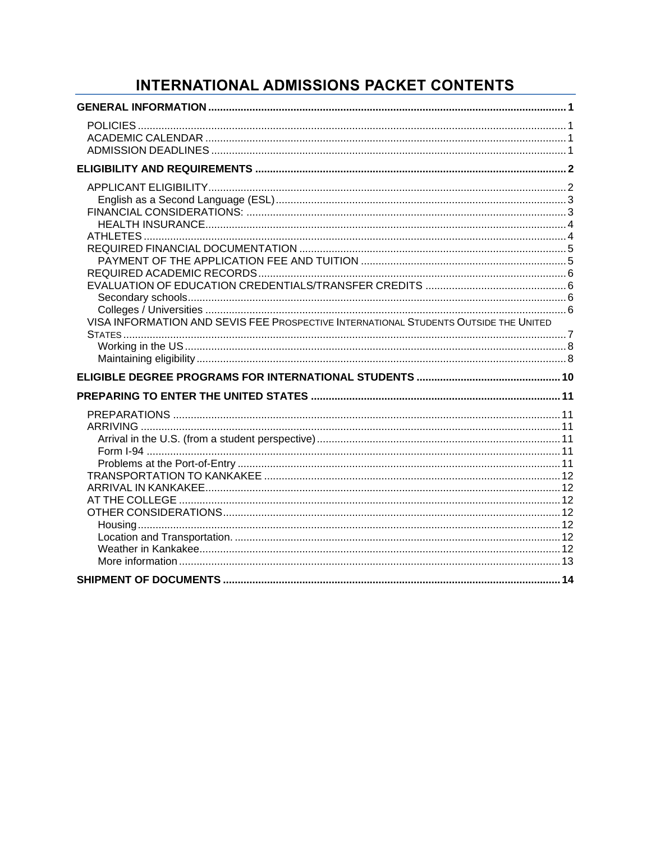# INTERNATIONAL ADMISSIONS PACKET CONTENTS

| VISA INFORMATION AND SEVIS FEE PROSPECTIVE INTERNATIONAL STUDENTS OUTSIDE THE UNITED |  |
|--------------------------------------------------------------------------------------|--|
|                                                                                      |  |
|                                                                                      |  |
|                                                                                      |  |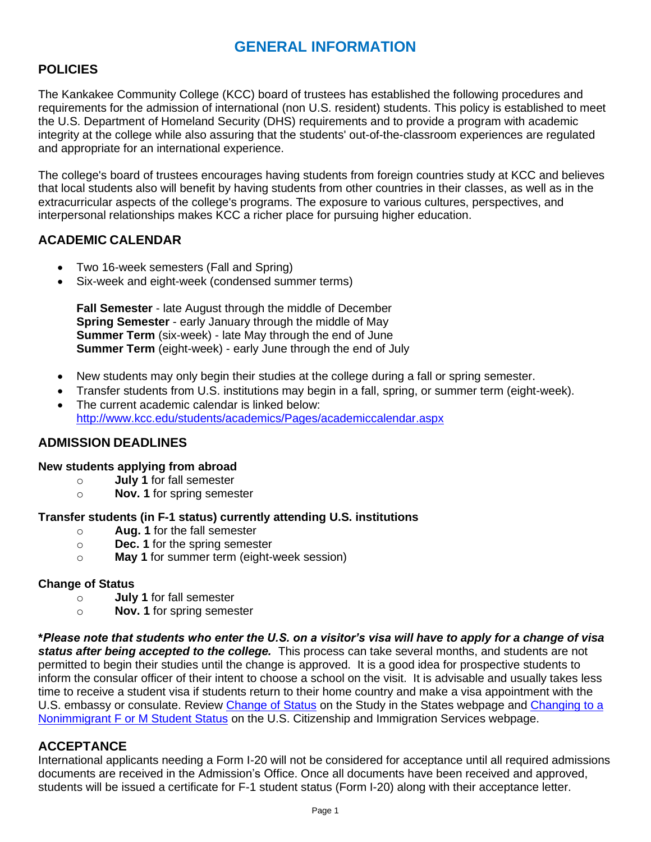# **GENERAL INFORMATION**

# <span id="page-2-1"></span><span id="page-2-0"></span>**POLICIES**

The Kankakee Community College (KCC) board of trustees has established the following procedures and requirements for the admission of international (non U.S. resident) students. This policy is established to meet the U.S. Department of Homeland Security (DHS) requirements and to provide a program with academic integrity at the college while also assuring that the students' out-of-the-classroom experiences are regulated and appropriate for an international experience.

The college's board of trustees encourages having students from foreign countries study at KCC and believes that local students also will benefit by having students from other countries in their classes, as well as in the extracurricular aspects of the college's programs. The exposure to various cultures, perspectives, and interpersonal relationships makes KCC a richer place for pursuing higher education.

# <span id="page-2-2"></span>**ACADEMIC CALENDAR**

- Two 16-week semesters (Fall and Spring)
- Six-week and eight-week (condensed summer terms)

**Fall Semester** - late August through the middle of December **Spring Semester** - early January through the middle of May **Summer Term** (six-week) - late May through the end of June **Summer Term** (eight-week) - early June through the end of July

- New students may only begin their studies at the college during a fall or spring semester.
- Transfer students from U.S. institutions may begin in a fall, spring, or summer term (eight-week).
- The current academic calendar is linked below: <http://www.kcc.edu/students/academics/Pages/academiccalendar.aspx>

# <span id="page-2-3"></span>**ADMISSION DEADLINES**

#### **New students applying from abroad**

- o **July 1** for fall semester
- o **Nov. 1** for spring semester

#### **Transfer students (in F-1 status) currently attending U.S. institutions**

- o **Aug. 1** for the fall semester
- o **Dec. 1** for the spring semester
- o **May 1** for summer term (eight-week session)

#### **Change of Status**

- o **July 1** for fall semester
- o **Nov. 1** for spring semester

**\****Please note that students who enter the U.S. on a visitor's visa will have to apply for a change of visa*  status after being accepted to the college. This process can take several months, and students are not permitted to begin their studies until the change is approved. It is a good idea for prospective students to inform the consular officer of their intent to choose a school on the visit. It is advisable and usually takes less time to receive a student visa if students return to their home country and make a visa appointment with the U.S. embassy or consulate. Review [Change of Status](https://studyinthestates.dhs.gov/students/complete/change-of-status) on the Study in the States webpage and [Changing to a](https://www.uscis.gov/working-united-states/students-and-exchange-visitors/students-and-employment/changing-a-nonimmigrant-f-or-m-student-status)  [Nonimmigrant F or M Student Status](https://www.uscis.gov/working-united-states/students-and-exchange-visitors/students-and-employment/changing-a-nonimmigrant-f-or-m-student-status) on the U.S. Citizenship and Immigration Services webpage.

# **ACCEPTANCE**

International applicants needing a Form I-20 will not be considered for acceptance until all required admissions documents are received in the Admission's Office. Once all documents have been received and approved, students will be issued a certificate for F-1 student status (Form I-20) along with their acceptance letter.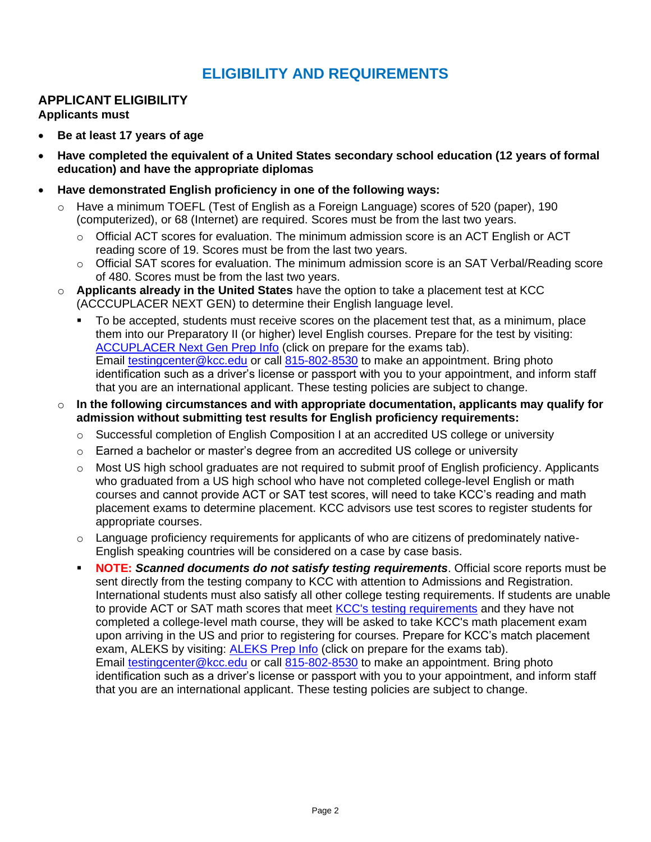# **ELIGIBILITY AND REQUIREMENTS**

# <span id="page-3-1"></span><span id="page-3-0"></span>**APPLICANT ELIGIBILITY**

**Applicants must**

- **Be at least 17 years of age**
- **Have completed the equivalent of a United States secondary school education (12 years of formal education) and have the appropriate diplomas**
- **Have demonstrated English proficiency in one of the following ways:**
	- o Have a minimum TOEFL (Test of English as a Foreign Language) scores of 520 (paper), 190 (computerized), or 68 (Internet) are required. Scores must be from the last two years.
		- $\circ$  Official ACT scores for evaluation. The minimum admission score is an ACT English or ACT reading score of 19. Scores must be from the last two years.
		- o Official SAT scores for evaluation. The minimum admission score is an SAT Verbal/Reading score of 480. Scores must be from the last two years.
	- o **Applicants already in the United States** have the option to take a placement test at KCC (ACCCUPLACER NEXT GEN) to determine their English language level.
		- To be accepted, students must receive scores on the placement test that, as a minimum, place them into our Preparatory II (or higher) level English courses. Prepare for the test by visiting: [ACCUPLACER Next Gen Prep Info](https://www.kcc.edu/admissions/testing/) (click on prepare for the exams tab). Email [testingcenter@kcc.edu](mailto:testingcenter@kcc.edu) or call [815-802-8530](tel:+18158028530) to make an appointment. Bring photo identification such as a driver's license or passport with you to your appointment, and inform staff that you are an international applicant. These testing policies are subject to change.
	- o **In the following circumstances and with appropriate documentation, applicants may qualify for admission without submitting test results for English proficiency requirements:**
		- $\circ$  Successful completion of English Composition I at an accredited US college or university
		- $\circ$  Earned a bachelor or master's degree from an accredited US college or university
		- $\circ$  Most US high school graduates are not required to submit proof of English proficiency. Applicants who graduated from a US high school who have not completed college-level English or math courses and cannot provide ACT or SAT test scores, will need to take KCC's reading and math placement exams to determine placement. KCC advisors use test scores to register students for appropriate courses.
		- $\circ$  Language proficiency requirements for applicants of who are citizens of predominately native-English speaking countries will be considered on a case by case basis.
		- **NOTE: Scanned documents do not satisfy testing requirements**. Official score reports must be sent directly from the testing company to KCC with attention to Admissions and Registration. International students must also satisfy all other college testing requirements. If students are unable to provide ACT or SAT math scores that meet [KCC's testing requirements](https://www.kcc.edu/admissions/testing/) and they have not completed a college-level math course, they will be asked to take KCC's math placement exam upon arriving in the US and prior to registering for courses. Prepare for KCC's match placement exam, ALEKS by visiting: **ALEKS Prep Info** (click on prepare for the exams tab). Email [testingcenter@kcc.edu](mailto:testingcenter@kcc.edu) or call [815-802-8530](tel:+18158028530) to make an appointment. Bring photo identification such as a driver's license or passport with you to your appointment, and inform staff that you are an international applicant. These testing policies are subject to change.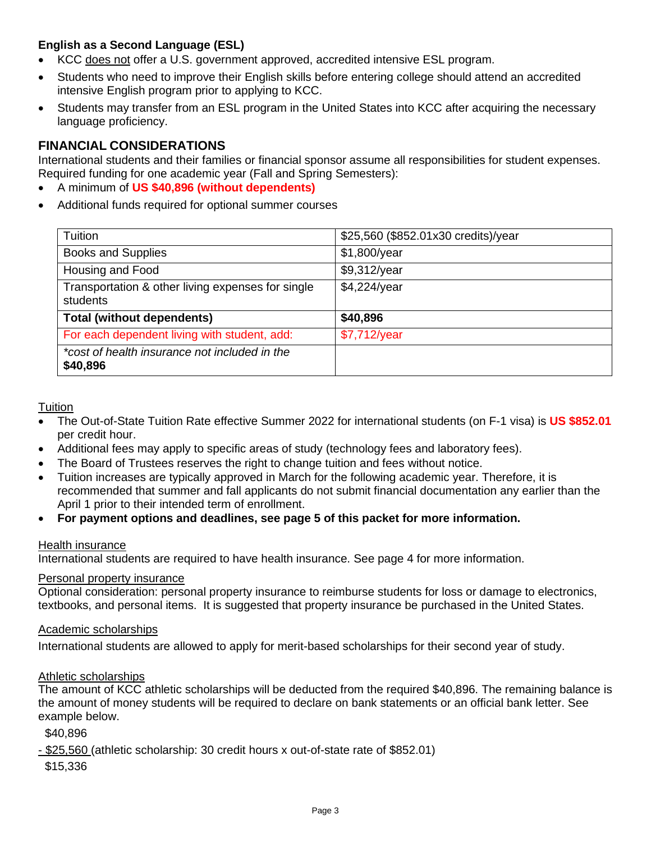# <span id="page-4-0"></span>**English as a Second Language (ESL)**

- KCC does not offer a U.S. government approved, accredited intensive ESL program.
- Students who need to improve their English skills before entering college should attend an accredited intensive English program prior to applying to KCC.
- Students may transfer from an ESL program in the United States into KCC after acquiring the necessary language proficiency.

# <span id="page-4-1"></span>**FINANCIAL CONSIDERATIONS**

International students and their families or financial sponsor assume all responsibilities for student expenses. Required funding for one academic year (Fall and Spring Semesters):

- A minimum of **US \$40,896 (without dependents)**
- Additional funds required for optional summer courses

| Tuition                                                       | \$25,560 (\$852.01x30 credits)/year |
|---------------------------------------------------------------|-------------------------------------|
| <b>Books and Supplies</b>                                     | \$1,800/year                        |
| Housing and Food                                              | \$9,312/year                        |
| Transportation & other living expenses for single<br>students | \$4,224/year                        |
| <b>Total (without dependents)</b>                             | \$40,896                            |
| For each dependent living with student, add:                  | \$7,712/year                        |
| *cost of health insurance not included in the<br>\$40,896     |                                     |

**Tuition** 

- The Out-of-State Tuition Rate effective Summer 2022 for international students (on F-1 visa) is **US \$852.01** per credit hour.
- Additional fees may apply to specific areas of study (technology fees and laboratory fees).
- The Board of Trustees reserves the right to change tuition and fees without notice.
- Tuition increases are typically approved in March for the following academic year. Therefore, it is recommended that summer and fall applicants do not submit financial documentation any earlier than the April 1 prior to their intended term of enrollment.
- **For payment options and deadlines, see page 5 of this packet for more information.**

#### Health insurance

International students are required to have health insurance. See page 4 for more information.

#### Personal property insurance

Optional consideration: personal property insurance to reimburse students for loss or damage to electronics, textbooks, and personal items. It is suggested that property insurance be purchased in the United States.

#### Academic scholarships

International students are allowed to apply for merit-based scholarships for their second year of study.

#### Athletic scholarships

The amount of KCC athletic scholarships will be deducted from the required \$40,896. The remaining balance is the amount of money students will be required to declare on bank statements or an official bank letter. See example below.

\$40,896

- \$25,560 (athletic scholarship: 30 credit hours x out-of-state rate of \$852.01)

\$15,336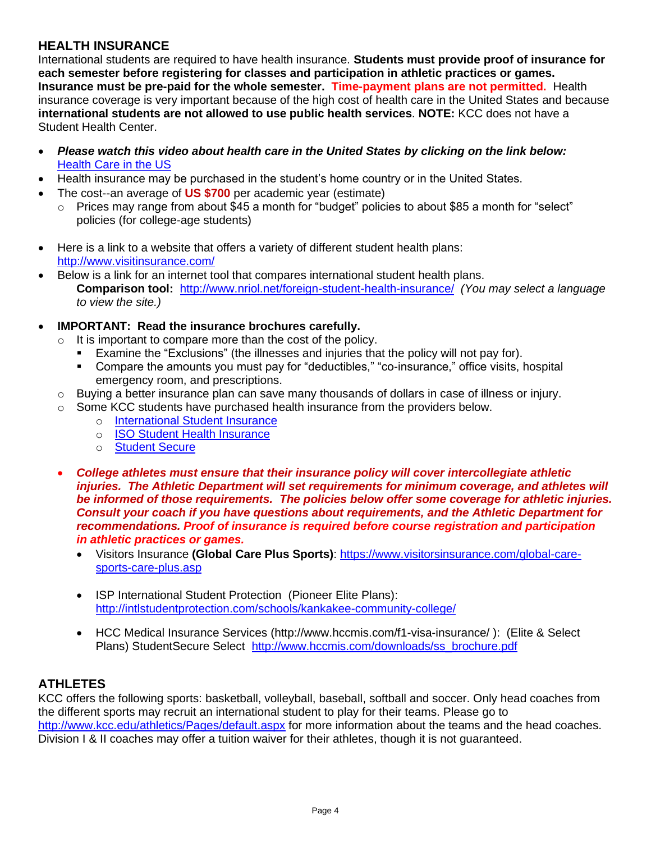# <span id="page-5-0"></span>**HEALTH INSURANCE**

International students are required to have health insurance. **Students must provide proof of insurance for each semester before registering for classes and participation in athletic practices or games. Insurance must be pre-paid for the whole semester. Time-payment plans are not permitted.** Health insurance coverage is very important because of the high cost of health care in the United States and because **international students are not allowed to use public health services**. **NOTE:** KCC does not have a Student Health Center.

- *Please watch this video about health care in the United States by clicking on the link below:* [Health Care in the US](https://www.internationalstudentinsurance.com/explained/us-healthcare-system-video.php?utm_source=yesmail&utm_medium=email&utm_term=eic_newsletter_june14&utm_content=1109388&utm_campaign=eic_newsletter)
- Health insurance may be purchased in the student's home country or in the United States.
- The cost--an average of **US \$700** per academic year (estimate)
	- $\circ$  Prices may range from about \$45 a month for "budget" policies to about \$85 a month for "select" policies (for college-age students)
- Here is a link to a website that offers a variety of different student health plans: <http://www.visitinsurance.com/>
- Below is a link for an internet tool that compares international student health plans. **Comparison tool:** <http://www.nriol.net/foreign-student-health-insurance/> *(You may select a language to view the site.)*
- **IMPORTANT: Read the insurance brochures carefully.** 
	- $\circ$  It is important to compare more than the cost of the policy.
		- Examine the "Exclusions" (the illnesses and injuries that the policy will not pay for).
		- Compare the amounts you must pay for "deductibles," "co-insurance," office visits, hospital emergency room, and prescriptions.
	- $\circ$  Buying a better insurance plan can save many thousands of dollars in case of illness or injury.
	- $\circ$  Some KCC students have purchased health insurance from the providers below.
		- o [International Student Insurance](https://www.internationalstudentinsurance.com/explained/us-healthcare-system-video.php?utm_source=yesmail&utm_medium=email&utm_term=eic_newsletter_june14&utm_content=1109388&utm_campaign=eic_newsletter)
		- o [ISO Student Health Insurance](https://www.isoa.org/)
		- o [Student Secure](https://www.hccmis.com/student-secure-insurance/?referid=9800243&utm_campaign=Google_Search_Brand_US_High_Desktop&utm_medium=ppc&utm_term=student%20secure&utm_source=adwords&hsa_kw=student%20secure&hsa_acc=9405253680&hsa_mt=e&hsa_net=adwords&hsa_src=g&hsa_cam=60087983&hsa_ver=3&hsa_tgt=kwd-3723532725&hsa_ad=376282433666&hsa_grp=17634316823&gclid=Cj0KCQiApaXxBRDNARIsAGFdaB9UK9a2tN7-UQwiGpOqAbkojVCQoR51EGhFck9JGynnWelz1SHpjewaAucKEALw_wcB)
	- *College athletes must ensure that their insurance policy will cover intercollegiate athletic injuries. The Athletic Department will set requirements for minimum coverage, and athletes will be informed of those requirements. The policies below offer some coverage for athletic injuries. Consult your coach if you have questions about requirements, and the Athletic Department for recommendations. Proof of insurance is required before course registration and participation in athletic practices or games.*
		- Visitors Insurance **(Global Care Plus Sports)**: [https://www.visitorsinsurance.com/global-care](https://www.visitorsinsurance.com/global-care-sports-care-plus.asp)[sports-care-plus.asp](https://www.visitorsinsurance.com/global-care-sports-care-plus.asp)
		- ISP International Student Protection (Pioneer Elite Plans): <http://intlstudentprotection.com/schools/kankakee-community-college/>
		- HCC Medical Insurance Services [\(http://www.hccmis.com/f1-visa-insurance/](http://www.hccmis.com/f1-visa-insurance/) ): (Elite & Select Plans) StudentSecure Select [http://www.hccmis.com/downloads/ss\\_brochure.pdf](http://www.hccmis.com/downloads/ss_brochure.pdf)

# <span id="page-5-1"></span>**ATHLETES**

KCC offers the following sports: basketball, volleyball, baseball, softball and soccer. Only head coaches from the different sports may recruit an international student to play for their teams. Please go to <http://www.kcc.edu/athletics/Pages/default.aspx> for more information about the teams and the head coaches. Division I & II coaches may offer a tuition waiver for their athletes, though it is not guaranteed.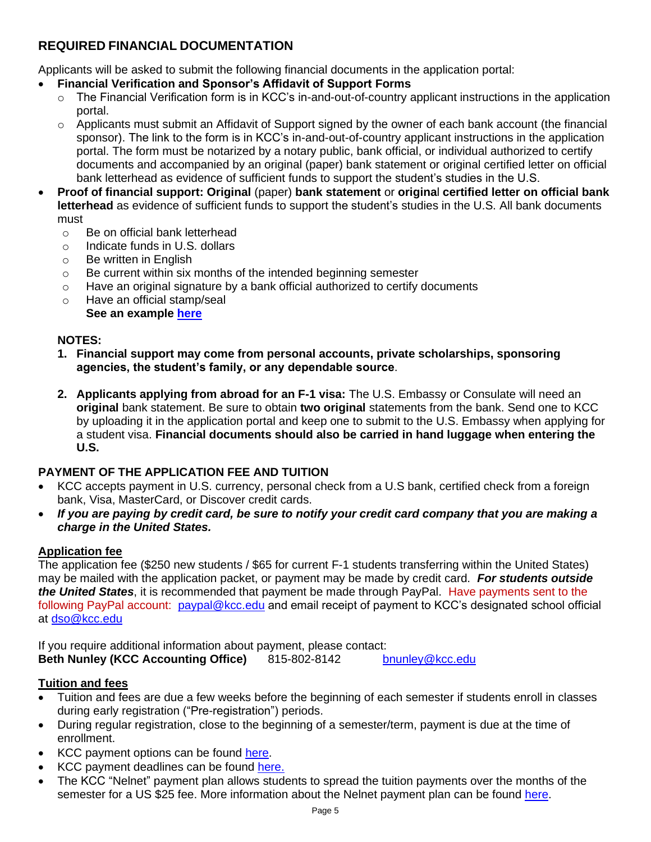# <span id="page-6-0"></span>**REQUIRED FINANCIAL DOCUMENTATION**

Applicants will be asked to submit the following financial documents in the application portal:

- **Financial Verification and Sponsor's Affidavit of Support Forms**
	- $\circ$  The Financial Verification form is in KCC's in-and-out-of-country applicant instructions in the application portal.
	- $\circ$  Applicants must submit an Affidavit of Support signed by the owner of each bank account (the financial sponsor). The link to the form is in KCC's in-and-out-of-country applicant instructions in the application portal. The form must be notarized by a notary public, bank official, or individual authorized to certify documents and accompanied by an original (paper) bank statement or original certified letter on official bank letterhead as evidence of sufficient funds to support the student's studies in the U.S.
- **Proof of financial support: Original** (paper) **bank statement** or **origina**l **certified letter on official bank letterhead** as evidence of sufficient funds to support the student's studies in the U.S. All bank documents must
	- o Be on official bank letterhead
	- o Indicate funds in U.S. dollars
	- o Be written in English
	- o Be current within six months of the intended beginning semester
	- $\circ$  Have an original signature by a bank official authorized to certify documents
	- o Have an official stamp/seal **See an example [here](https://cdn.kcc.edu/admissions-forms/Example%20of%20Bank%20Letter.pdf)**

# **NOTES:**

- **1. Financial support may come from personal accounts, private scholarships, sponsoring agencies, the student's family, or any dependable source**.
- **2. Applicants applying from abroad for an F-1 visa:** The U.S. Embassy or Consulate will need an **original** bank statement. Be sure to obtain **two original** statements from the bank. Send one to KCC by uploading it in the application portal and keep one to submit to the U.S. Embassy when applying for a student visa. **Financial documents should also be carried in hand luggage when entering the U.S.**

# <span id="page-6-1"></span>**PAYMENT OF THE APPLICATION FEE AND TUITION**

- KCC accepts payment in U.S. currency, personal check from a U.S bank, certified check from a foreign bank, Visa, MasterCard, or Discover credit cards.
- *If you are paying by credit card, be sure to notify your credit card company that you are making a charge in the United States.*

# **Application fee**

The application fee (\$250 new students / \$65 for current F-1 students transferring within the United States) may be mailed with the application packet, or payment may be made by credit card. *For students outside the United States*, it is recommended that payment be made through PayPal. Have payments sent to the following PayPal account: [paypal@kcc.edu](mailto:paypal@kcc.edu) and email receipt of payment to KCC's designated school official at [dso@kcc.edu](mailto:dso@kcc.edu)

If you require additional information about payment, please contact: **Beth Nunley (KCC Accounting Office)** 815-802-8142 [bnunley@kcc.edu](mailto:bnunley@kcc.edu)

# **Tuition and fees**

- Tuition and fees are due a few weeks before the beginning of each semester if students enroll in classes during early registration ("Pre-registration") periods.
- During regular registration, close to the beginning of a semester/term, payment is due at the time of enrollment.
- KCC payment options can be found [here.](http://www.kcc.edu/future/paying/cost/Pages/payments.aspx)
- KCC payment deadlines can be found [here.](http://www.kcc.edu/future/paying/cost/Pages/default.aspx)
- The KCC "Nelnet" payment plan allows students to spread the tuition payments over the months of the semester for a US \$25 fee. More information about the Nelnet payment plan can be found [here.](http://www.kcc.edu/future/paying/cost/Pages/payments.aspx)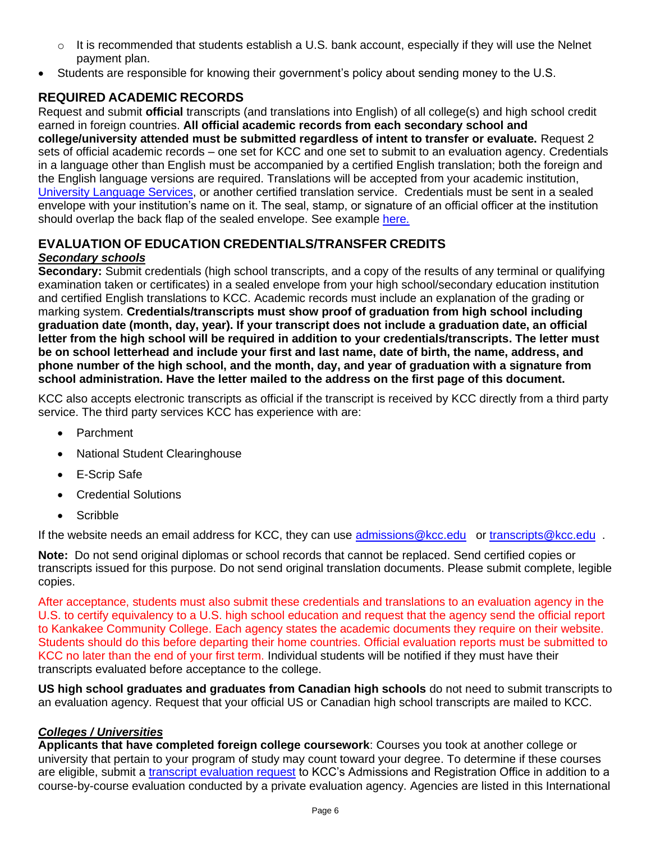- $\circ$  It is recommended that students establish a U.S. bank account, especially if they will use the Nelnet payment plan.
- Students are responsible for knowing their government's policy about sending money to the U.S.

# <span id="page-7-0"></span>**REQUIRED ACADEMIC RECORDS**

Request and submit **official** transcripts (and translations into English) of all college(s) and high school credit earned in foreign countries. **All official academic records from each secondary school and college/university attended must be submitted regardless of intent to transfer or evaluate.** Request 2 sets of official academic records – one set for KCC and one set to submit to an evaluation agency. Credentials in a language other than English must be accompanied by a certified English translation; both the foreign and the English language versions are required. Translations will be accepted from your academic institution, [University Language Services,](https://www.universitylanguage.com/) or another certified translation service. Credentials must be sent in a sealed envelope with your institution's name on it. The seal, stamp, or signature of an official officer at the institution should overlap the back flap of the sealed envelope. See example [here.](https://cdn.kcc.edu/admissions-forms/Example%20of%20official%20sealed%20envelope.pdf)

## <span id="page-7-1"></span>**EVALUATION OF EDUCATION CREDENTIALS/TRANSFER CREDITS** *Secondary schools*

<span id="page-7-2"></span>**Secondary:** Submit credentials (high school transcripts, and a copy of the results of any terminal or qualifying examination taken or certificates) in a sealed envelope from your high school/secondary education institution and certified English translations to KCC. Academic records must include an explanation of the grading or marking system. **Credentials/transcripts must show proof of graduation from high school including graduation date (month, day, year). If your transcript does not include a graduation date, an official letter from the high school will be required in addition to your credentials/transcripts. The letter must be on school letterhead and include your first and last name, date of birth, the name, address, and phone number of the high school, and the month, day, and year of graduation with a signature from school administration. Have the letter mailed to the address on the first page of this document.**

KCC also accepts electronic transcripts as official if the transcript is received by KCC directly from a third party service. The third party services KCC has experience with are:

- Parchment
- National Student Clearinghouse
- **E-Scrip Safe**
- Credential Solutions
- **Scribble**

If the website needs an email address for KCC, they can use [admissions@kcc.edu](mailto:admissions@kcc.edu) or [transcripts@kcc.edu](mailto:transcripts@kcc.edu) .

**Note:** Do not send original diplomas or school records that cannot be replaced. Send certified copies or transcripts issued for this purpose. Do not send original translation documents. Please submit complete, legible copies.

After acceptance, students must also submit these credentials and translations to an evaluation agency in the U.S. to certify equivalency to a U.S. high school education and request that the agency send the official report to Kankakee Community College. Each agency states the academic documents they require on their website. Students should do this before departing their home countries. Official evaluation reports must be submitted to KCC no later than the end of your first term. Individual students will be notified if they must have their transcripts evaluated before acceptance to the college.

**US high school graduates and graduates from Canadian high schools** do not need to submit transcripts to an evaluation agency. Request that your official US or Canadian high school transcripts are mailed to KCC.

# <span id="page-7-3"></span>*Colleges / Universities*

**Applicants that have completed foreign college coursework**: Courses you took at another college or university that pertain to your program of study may count toward your degree. To determine if these courses are eligible, submit a [transcript evaluation request](http://www.kcc.edu/admissions/forms/Pages/transcript-evaluation-request.aspx) to KCC's Admissions and Registration Office in addition to a course-by-course evaluation conducted by a private evaluation agency. Agencies are listed in this International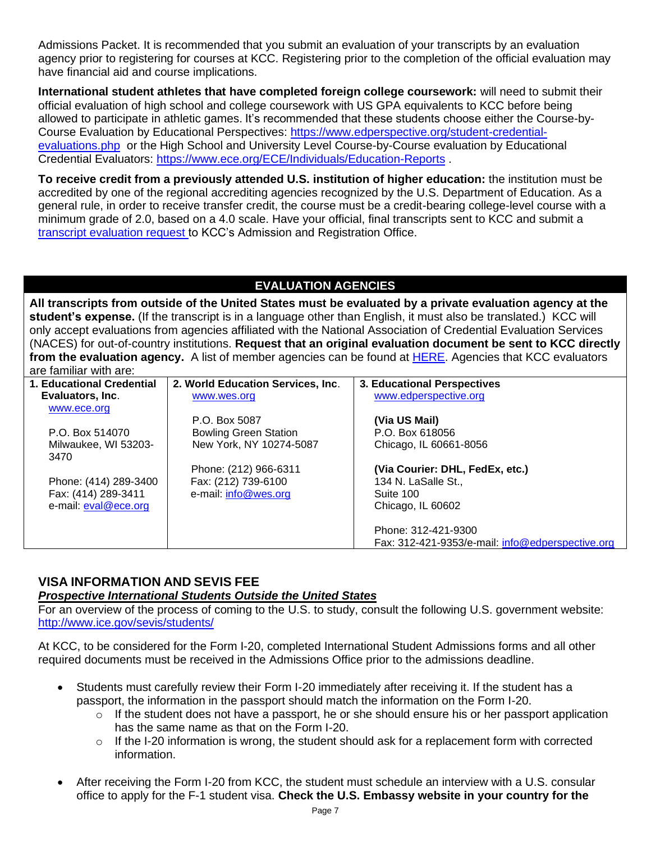Admissions Packet. It is recommended that you submit an evaluation of your transcripts by an evaluation agency prior to registering for courses at KCC. Registering prior to the completion of the official evaluation may have financial aid and course implications.

**International student athletes that have completed foreign college coursework:** will need to submit their official evaluation of high school and college coursework with US GPA equivalents to KCC before being allowed to participate in athletic games. It's recommended that these students choose either the Course-by-Course Evaluation by Educational Perspectives: [https://www.edperspective.org/student-credential](https://www.edperspective.org/student-credential-evaluations.php)[evaluations.php](https://www.edperspective.org/student-credential-evaluations.php) or the High School and University Level Course-by-Course evaluation by Educational Credential Evaluators:<https://www.ece.org/ECE/Individuals/Education-Reports> .

**To receive credit from a previously attended U.S. institution of higher education:** the institution must be accredited by one of the regional accrediting agencies recognized by the U.S. Department of Education. As a general rule, in order to receive transfer credit, the course must be a credit-bearing college-level course with a minimum grade of 2.0, based on a 4.0 scale. Have your official, final transcripts sent to KCC and submit a [transcript evaluation request](http://www.kcc.edu/admissions/forms/Pages/transcript-evaluation-request.aspx) to KCC's Admission and Registration Office.

# **EVALUATION AGENCIES**

**All transcripts from outside of the United States must be evaluated by a private evaluation agency at the student's expense.** (If the transcript is in a language other than English, it must also be translated.) KCC will only accept evaluations from agencies affiliated with the National Association of Credential Evaluation Services (NACES) for out-of-country institutions. **Request that an original evaluation document be sent to KCC directly from the evaluation agency.** A list of member agencies can be found at [HERE.](https://www.naces.org/members) Agencies that KCC evaluators are familiar with are:

| 1. Educational Credential | 2. World Education Services, Inc. | 3. Educational Perspectives                      |
|---------------------------|-----------------------------------|--------------------------------------------------|
| Evaluators, Inc.          | www.wes.org                       | www.edperspective.org                            |
| www.ece.org               |                                   |                                                  |
|                           | P.O. Box 5087                     | (Via US Mail)                                    |
| P.O. Box 514070           | <b>Bowling Green Station</b>      | P.O. Box 618056                                  |
| Milwaukee, WI 53203-      | New York, NY 10274-5087           | Chicago, IL 60661-8056                           |
| 3470                      |                                   |                                                  |
|                           | Phone: (212) 966-6311             | (Via Courier: DHL, FedEx, etc.)                  |
| Phone: (414) 289-3400     | Fax: (212) 739-6100               | 134 N. LaSalle St.,                              |
| Fax: (414) 289-3411       | e-mail: info@wes.org              | Suite 100                                        |
| e-mail: eval@ece.org      |                                   | Chicago, IL 60602                                |
|                           |                                   |                                                  |
|                           |                                   | Phone: 312-421-9300                              |
|                           |                                   | Fax: 312-421-9353/e-mail: info@edperspective.org |

# <span id="page-8-0"></span>**VISA INFORMATION AND SEVIS FEE**

## *Prospective International Students Outside the United States*

For an overview of the process of coming to the U.S. to study, consult the following U.S. government website: <http://www.ice.gov/sevis/students/>

At KCC, to be considered for the Form I-20, completed International Student Admissions forms and all other required documents must be received in the Admissions Office prior to the admissions deadline.

- Students must carefully review their Form I-20 immediately after receiving it. If the student has a passport, the information in the passport should match the information on the Form I-20.
	- o If the student does not have a passport, he or she should ensure his or her passport application has the same name as that on the Form I-20.
	- $\circ$  If the I-20 information is wrong, the student should ask for a replacement form with corrected information.
- After receiving the Form I-20 from KCC, the student must schedule an interview with a U.S. consular office to apply for the F-1 student visa. **Check the U.S. Embassy website in your country for the**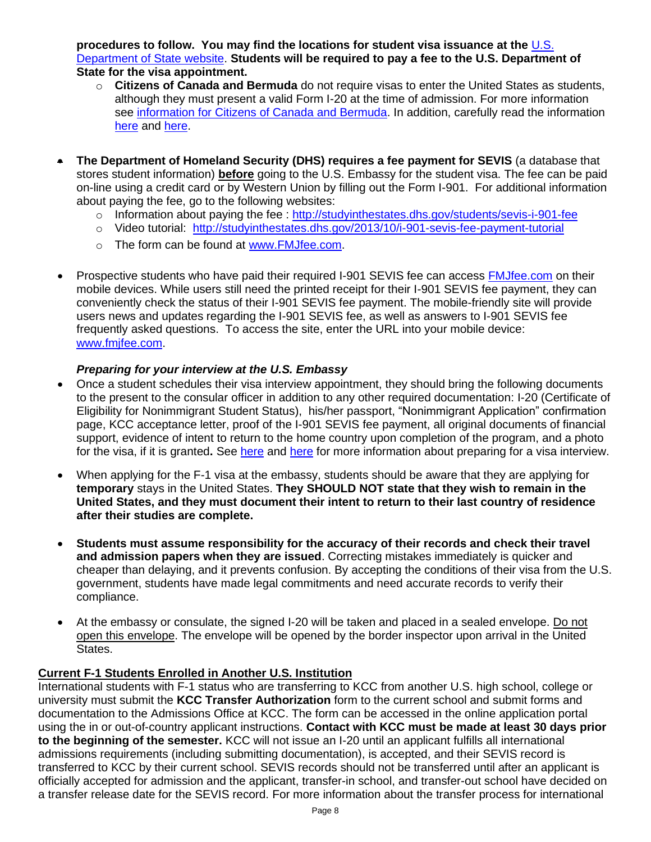**procedures to follow. You may find the locations for student visa issuance at the** [U.S.](https://www.usembassy.gov/) [Department](https://www.usembassy.gov/) of State website. **Students will be required to pay a fee to the U.S. Department of State for the visa appointment.**

- o **Citizens of Canada and Bermuda** do not require visas to enter the United States as students, although they must present a valid Form I-20 at the time of admission. For more information see [information for Citizens of Canada and Bermuda.](https://travel.state.gov/content/travel/en/us-visas/tourism-visit/citizens-of-canada-and-bermuda.html) In addition, carefully read the information [here](https://travel.state.gov/content/travel/en/us-visas/tourism-visit/citizens-of-canada-and-bermuda.html) and [here.](https://ca.usembassy.gov/visas/canadian-students/)
- **The Department of Homeland Security (DHS) requires a fee payment for SEVIS** (a database that stores student information) **before** going to the U.S. Embassy for the student visa. The fee can be paid on-line using a credit card or by Western Union by filling out the Form I-901. For additional information about paying the fee, go to the following websites:
	- o Information about paying the fee :<http://studyinthestates.dhs.gov/students/sevis-i-901-fee>
	- o Video tutorial: <http://studyinthestates.dhs.gov/2013/10/i-901-sevis-fee-payment-tutorial>
	- o The form can be found at [www.FMJfee.com.](http://www.fmjfee.com/)
- Prospective students who have paid their required I-901 SEVIS fee can access [FMJfee.com](http://www.fmjfee.com/) on their mobile devices. While users still need the printed receipt for their I-901 SEVIS fee payment, they can conveniently check the status of their I-901 SEVIS fee payment. The mobile-friendly site will provide users news and updates regarding the I-901 SEVIS fee, as well as answers to I-901 SEVIS fee frequently asked questions. To access the site, enter the URL into your mobile device: [www.fmjfee.com.](http://www.fmjfee.com/)

## *Preparing for your interview at the U.S. Embassy*

- Once a student schedules their visa interview appointment, they should bring the following documents to the present to the consular officer in addition to any other required documentation: I-20 (Certificate of Eligibility for Nonimmigrant Student Status), his/her passport, "Nonimmigrant Application" confirmation page, KCC acceptance letter, proof of the I-901 SEVIS fee payment, all original documents of financial support, evidence of intent to return to the home country upon completion of the program, and a photo for the visa, if it is granted**.** See [here](https://studyinthestates.dhs.gov/2018/08/students-prepare-for-your-visa-interview) and [here](https://studyinthestates.dhs.gov/2015/06/five-ways-to-prepare-for-your-visa-interview) for more information about preparing for a visa interview.
- When applying for the F-1 visa at the embassy, students should be aware that they are applying for **temporary** stays in the United States. **They SHOULD NOT state that they wish to remain in the United States, and they must document their intent to return to their last country of residence after their studies are complete.**
- **Students must assume responsibility for the accuracy of their records and check their travel and admission papers when they are issued**. Correcting mistakes immediately is quicker and cheaper than delaying, and it prevents confusion. By accepting the conditions of their visa from the U.S. government, students have made legal commitments and need accurate records to verify their compliance.
- At the embassy or consulate, the signed I-20 will be taken and placed in a sealed envelope. Do not open this envelope. The envelope will be opened by the border inspector upon arrival in the United States.

## **Current F-1 Students Enrolled in Another U.S. Institution**

International students with F-1 status who are transferring to KCC from another U.S. high school, college or university must submit the **KCC Transfer Authorization** form to the current school and submit forms and documentation to the Admissions Office at KCC. The form can be accessed in the online application portal using the in or out-of-country applicant instructions. **Contact with KCC must be made at least 30 days prior to the beginning of the semester.** KCC will not issue an I-20 until an applicant fulfills all international admissions requirements (including submitting documentation), is accepted, and their SEVIS record is transferred to KCC by their current school. SEVIS records should not be transferred until after an applicant is officially accepted for admission and the applicant, transfer-in school, and transfer-out school have decided on a transfer release date for the SEVIS record. For more information about the transfer process for international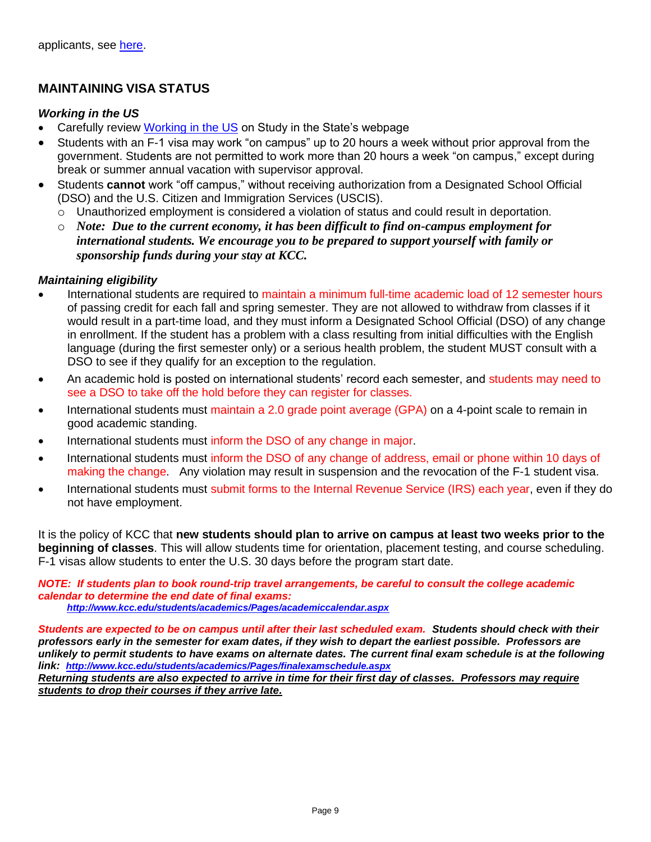# **MAINTAINING VISA STATUS**

#### *Working in the US*

- Carefully review [Working in the US](https://studyinthestates.dhs.gov/students/work/working-in-the-united-states) on Study in the State's webpage
- Students with an F-1 visa may work "on campus" up to 20 hours a week without prior approval from the government. Students are not permitted to work more than 20 hours a week "on campus," except during break or summer annual vacation with supervisor approval.
- Students **cannot** work "off campus," without receiving authorization from a Designated School Official (DSO) and the U.S. Citizen and Immigration Services (USCIS).
	- o Unauthorized employment is considered a violation of status and could result in deportation.
	- o *Note: Due to the current economy, it has been difficult to find on-campus employment for international students. We encourage you to be prepared to support yourself with family or sponsorship funds during your stay at KCC.*

#### <span id="page-10-0"></span>*Maintaining eligibility*

- International students are required to maintain a minimum full-time academic load of 12 semester hours of passing credit for each fall and spring semester. They are not allowed to withdraw from classes if it would result in a part-time load, and they must inform a Designated School Official (DSO) of any change in enrollment. If the student has a problem with a class resulting from initial difficulties with the English language (during the first semester only) or a serious health problem, the student MUST consult with a DSO to see if they qualify for an exception to the regulation.
- An academic hold is posted on international students' record each semester, and students may need to see a DSO to take off the hold before they can register for classes.
- International students must maintain a 2.0 grade point average (GPA) on a 4-point scale to remain in good academic standing.
- International students must inform the DSO of any change in major.
- International students must inform the DSO of any change of address, email or phone within 10 days of making the change. Any violation may result in suspension and the revocation of the F-1 student visa.
- International students must submit forms to the Internal Revenue Service (IRS) each year, even if they do not have employment.

It is the policy of KCC that **new students should plan to arrive on campus at least two weeks prior to the beginning of classes**. This will allow students time for orientation, placement testing, and course scheduling. F-1 visas allow students to enter the U.S. 30 days before the program start date.

*NOTE: If students plan to book round-trip travel arrangements, be careful to consult the college academic calendar to determine the end date of final exams: <http://www.kcc.edu/students/academics/Pages/academiccalendar.aspx>*

*Students are expected to be on campus until after their last scheduled exam. Students should check with their professors early in the semester for exam dates, if they wish to depart the earliest possible. Professors are unlikely to permit students to have exams on alternate dates. The current final exam schedule is at the following link: <http://www.kcc.edu/students/academics/Pages/finalexamschedule.aspx> Returning students are also expected to arrive in time for their first day of classes. Professors may require* 

*students to drop their courses if they arrive late.*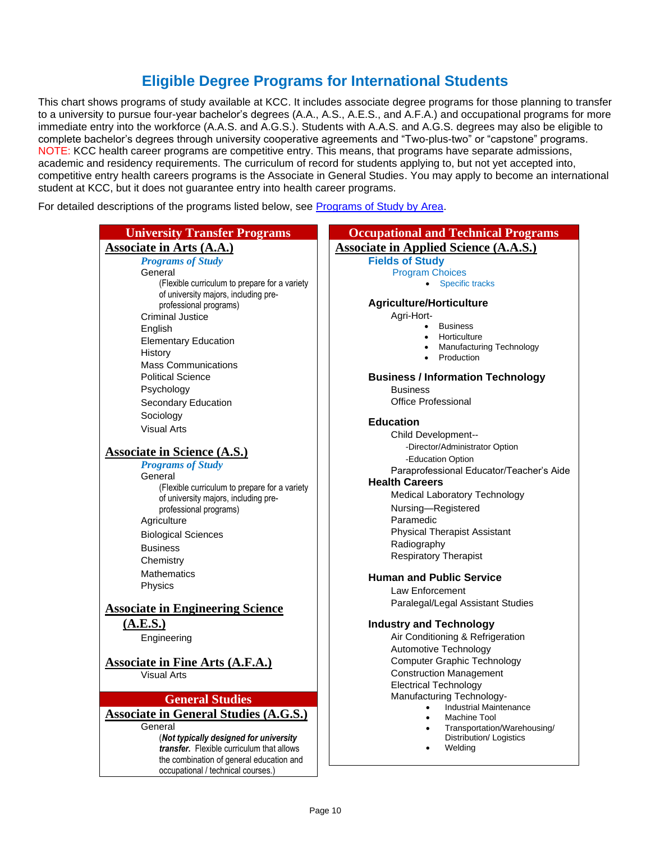# **Eligible Degree Programs for International Students**

<span id="page-11-0"></span>This chart shows programs of study available at KCC. It includes associate degree programs for those planning to transfer to a university to pursue four-year bachelor's degrees (A.A., A.S., A.E.S., and A.F.A.) and occupational programs for more immediate entry into the workforce (A.A.S. and A.G.S.). Students with A.A.S. and A.G.S. degrees may also be eligible to complete bachelor's degrees through university cooperative agreements and "Two-plus-two" or "capstone" programs. NOTE: KCC health career programs are competitive entry. This means, that programs have separate admissions, academic and residency requirements. The curriculum of record for students applying to, but not yet accepted into, competitive entry health careers programs is the Associate in General Studies. You may apply to become an international student at KCC, but it does not guarantee entry into health career programs.

For detailed descriptions of the programs listed below, see [Programs of Study by Area.](https://kcc.smartcatalogiq.com/en/2021-2022/Academic-Catalog/Programs-of-Study-by-Area)

#### **University Transfer Programs**

#### **Associate in Arts (A.A.)**

*Programs of Study* General (Flexible curriculum to prepare for a variety of university majors, including preprofessional programs) Criminal Justice English Elementary Education **History** Mass Communications Political Science Psychology Secondary Education Sociology Visual Arts **Associate in Science (A.S.)** *Programs of Study* **General** (Flexible curriculum to prepare for a variety of university majors, including preprofessional programs)

> **Agriculture** Biological Sciences

**Business** 

**Chemistry Mathematics** 

Physics

#### **Associate in Engineering Science**

**(A.E.S.)**

Engineering

# **Associate in Fine Arts (A.F.A.)**

Visual Arts

#### **General Studies**

**Associate in General Studies (A.G.S.)**

General (*Not typically designed for university transfer.* Flexible curriculum that allows the combination of general education and occupational / technical courses.)

| <b>Occupational and Technical Programs</b>                        |
|-------------------------------------------------------------------|
| <b>Associate in Applied Science (A.A.S.)</b>                      |
| <b>Fields of Study</b>                                            |
| <b>Program Choices</b>                                            |
| <b>Specific tracks</b>                                            |
| <b>Agriculture/Horticulture</b>                                   |
| Agri-Hort-                                                        |
| <b>Business</b><br>Horticulture                                   |
| Manufacturing Technology                                          |
| Production                                                        |
| <b>Business / Information Technology</b>                          |
| <b>Business</b>                                                   |
| Office Professional                                               |
| <b>Education</b>                                                  |
| Child Development--                                               |
| -Director/Administrator Option                                    |
| -Education Option                                                 |
| Paraprofessional Educator/Teacher's Aide<br><b>Health Careers</b> |
| Medical Laboratory Technology                                     |
| Nursing-Registered                                                |
| Paramedic                                                         |
| <b>Physical Therapist Assistant</b>                               |
| Radiography                                                       |
| <b>Respiratory Therapist</b>                                      |
| <b>Human and Public Service</b>                                   |
| Law Enforcement                                                   |
| Paralegal/Legal Assistant Studies                                 |
| <b>Industry and Technology</b>                                    |
| Air Conditioning & Refrigeration                                  |
| Automotive Technology                                             |
| <b>Computer Graphic Technology</b>                                |
| <b>Construction Management</b>                                    |
| <b>Electrical Technology</b>                                      |
| Manufacturing Technology-<br><b>Industrial Maintenance</b>        |
| Machine Tool                                                      |
| Transportation/Warehousing/                                       |
| Distribution/ Logistics<br>Weldina                                |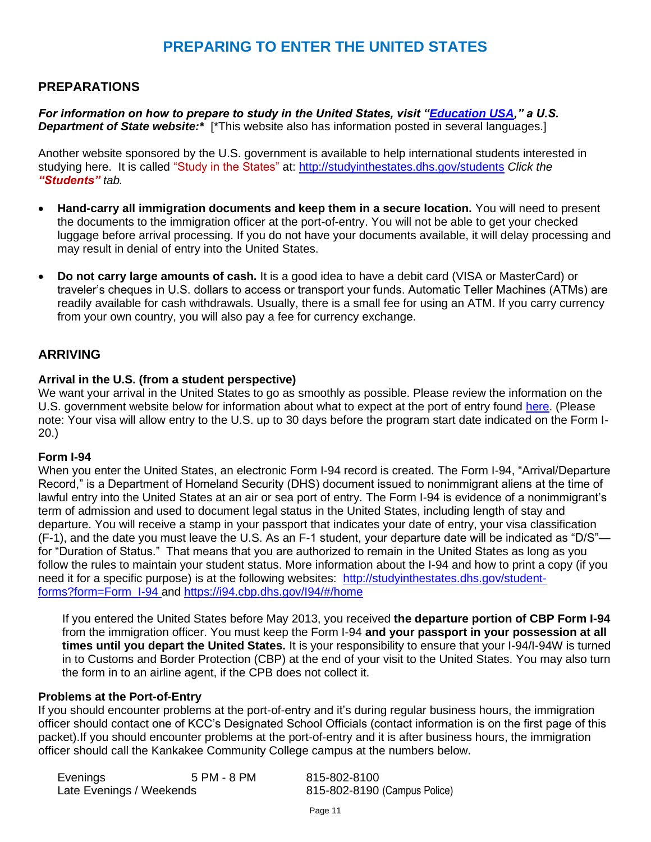# **PREPARING TO ENTER THE UNITED STATES**

# <span id="page-12-1"></span><span id="page-12-0"></span>**PREPARATIONS**

*For information on how to prepare to study in the United States, visit ["Education USA,](https://educationusa.state.gov/)" a U.S.*  **Department of State website:**\* [\*This website also has information posted in several languages.]

Another website sponsored by the U.S. government is available to help international students interested in studying here. It is called "Study in the States" at:<http://studyinthestates.dhs.gov/students> *Click the "Students" tab.*

- **Hand-carry all immigration documents and keep them in a secure location.** You will need to present the documents to the immigration officer at the port-of-entry. You will not be able to get your checked luggage before arrival processing. If you do not have your documents available, it will delay processing and may result in denial of entry into the United States.
- **Do not carry large amounts of cash.** It is a good idea to have a debit card (VISA or MasterCard) or traveler's cheques in U.S. dollars to access or transport your funds. Automatic Teller Machines (ATMs) are readily available for cash withdrawals. Usually, there is a small fee for using an ATM. If you carry currency from your own country, you will also pay a fee for currency exchange.

## <span id="page-12-2"></span>**ARRIVING**

#### <span id="page-12-3"></span>**Arrival in the U.S. (from a student perspective)**

We want your arrival in the United States to go as smoothly as possible. Please review the information on the U.S. government website below for information about what to expect at the port of entry found [here.](http://studyinthestates.dhs.gov/2013/04/here-to-help-what-to-expect-at-a-port-of-entry-with-a-us-customs-and-border-protection-officer) (Please note: Your visa will allow entry to the U.S. up to 30 days before the program start date indicated on the Form I-20.)

#### <span id="page-12-4"></span>**Form I-94**

When you enter the United States, an electronic Form I-94 record is created. The Form I-94, "Arrival/Departure Record," is a Department of Homeland Security (DHS) document issued to nonimmigrant aliens at the time of lawful entry into the United States at an air or sea port of entry. The Form I-94 is evidence of a nonimmigrant's term of admission and used to document legal status in the United States, including length of stay and departure. You will receive a stamp in your passport that indicates your date of entry, your visa classification (F-1), and the date you must leave the U.S. As an F-1 student, your departure date will be indicated as "D/S" for "Duration of Status." That means that you are authorized to remain in the United States as long as you follow the rules to maintain your student status. More information about the I-94 and how to print a copy (if you need it for a specific purpose) is at the following websites: [http://studyinthestates.dhs.gov/student](http://studyinthestates.dhs.gov/student-forms?form=Form_I-94)[forms?form=Form\\_I-94](http://studyinthestates.dhs.gov/student-forms?form=Form_I-94) and <https://i94.cbp.dhs.gov/I94/#/home>

If you entered the United States before May 2013, you received **the departure portion of CBP Form I-94**  from the immigration officer. You must keep the Form I-94 **and your passport in your possession at all times until you depart the United States.** It is your responsibility to ensure that your I-94/I-94W is turned in to Customs and Border Protection (CBP) at the end of your visit to the United States. You may also turn the form in to an airline agent, if the CPB does not collect it.

#### <span id="page-12-5"></span>**Problems at the Port-of-Entry**

If you should encounter problems at the port-of-entry and it's during regular business hours, the immigration officer should contact one of KCC's Designated School Officials (contact information is on the first page of this packet).If you should encounter problems at the port-of-entry and it is after business hours, the immigration officer should call the Kankakee Community College campus at the numbers below.

| Evenings                 | 5 PM - 8 PM | 815-802-8100                 |
|--------------------------|-------------|------------------------------|
| Late Evenings / Weekends |             | 815-802-8190 (Campus Police) |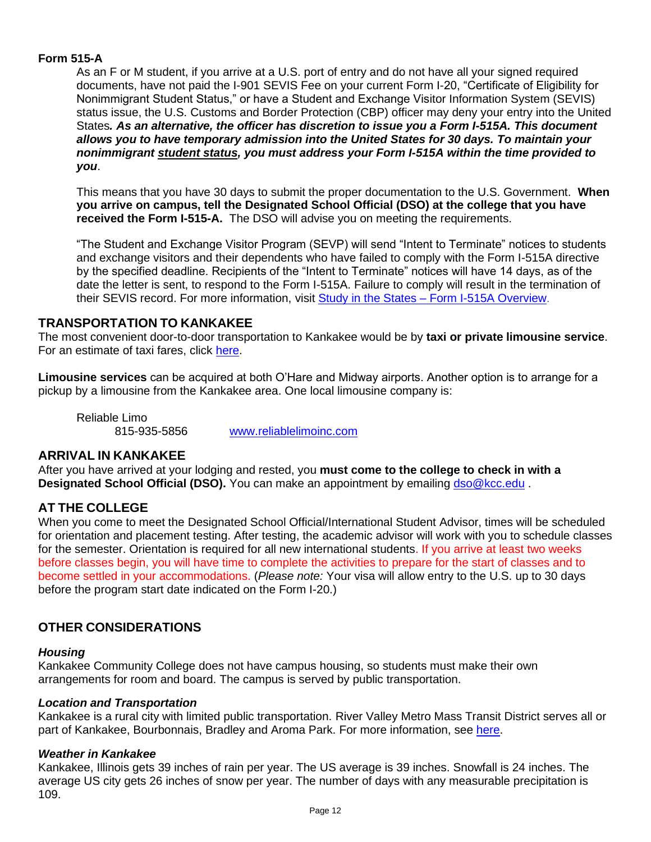# **Form 515-A**

As an F or M student, if you arrive at a U.S. port of entry and do not have all your signed required documents, have not paid the I-901 SEVIS Fee on your current Form I-20, "Certificate of Eligibility for Nonimmigrant Student Status," or have a Student and Exchange Visitor Information System (SEVIS) status issue, the U.S. Customs and Border Protection (CBP) officer may deny your entry into the United States*. As an alternative, the officer has discretion to issue you a Form I-515A. This document allows you to have temporary admission into the United States for 30 days. To maintain your nonimmigrant [student](http://studyinthestates.dhs.gov/maintaining-your-status) status, you must address your Form I-515A within the time provided to you*.

This means that you have 30 days to submit the proper documentation to the U.S. Government. **When you arrive on campus, tell the Designated School Official (DSO) at the college that you have received the Form I-515-A.** The DSO will advise you on meeting the requirements.

"The Student and Exchange Visitor Program (SEVP) will send "Intent to Terminate" notices to students and exchange visitors and their dependents who have failed to comply with the Form I-515A directive by the specified deadline. Recipients of the "Intent to Terminate" notices will have 14 days, as of the date the letter is sent, to respond to the Form I-515A. Failure to comply will result in the termination of their SEVIS record. For more information, visit Study in the States - [Form I-515A Overview](https://studyinthestates.dhs.gov/what-is-a-form-i-515a).

## <span id="page-13-0"></span>**TRANSPORTATION TO KANKAKEE**

The most convenient door-to-door transportation to Kankakee would be by **taxi or private limousine service**. For an estimate of taxi fares, click [here.](https://www.taxifarefinder.com/main.php?city=Chicago&from=O)

**Limousine services** can be acquired at both O'Hare and Midway airports. Another option is to arrange for a pickup by a limousine from the Kankakee area. One local limousine company is:

Reliable Limo

815-935-5856 [www.reliablelimoinc.com](http://www.reliablelimoinc.com/)

## <span id="page-13-1"></span>**ARRIVAL IN KANKAKEE**

After you have arrived at your lodging and rested, you **must come to the college to check in with a Designated School Official (DSO).** You can make an appointment by emailing [dso@kcc.edu](mailto:dso@kcc.edu)

## <span id="page-13-2"></span>**AT THE COLLEGE**

When you come to meet the Designated School Official/International Student Advisor, times will be scheduled for orientation and placement testing. After testing, the academic advisor will work with you to schedule classes for the semester. Orientation is required for all new international students. If you arrive at least two weeks before classes begin, you will have time to complete the activities to prepare for the start of classes and to become settled in your accommodations. (*Please note:* Your visa will allow entry to the U.S. up to 30 days before the program start date indicated on the Form I-20.)

## <span id="page-13-3"></span>**OTHER CONSIDERATIONS**

#### <span id="page-13-4"></span>*Housing*

Kankakee Community College does not have campus housing, so students must make their own arrangements for room and board. The campus is served by public transportation.

#### <span id="page-13-5"></span>*Location and Transportation*

Kankakee is a rural city with limited public transportation. River Valley Metro Mass Transit District serves all or part of Kankakee, Bourbonnais, Bradley and Aroma Park. For more information, see [here.](https://www.rivervalleymetro.com/)

#### <span id="page-13-6"></span>*Weather in Kankakee*

Kankakee, Illinois gets 39 inches of rain per year. The US average is 39 inches. Snowfall is 24 inches. The average US city gets 26 inches of snow per year. The number of days with any measurable precipitation is 109.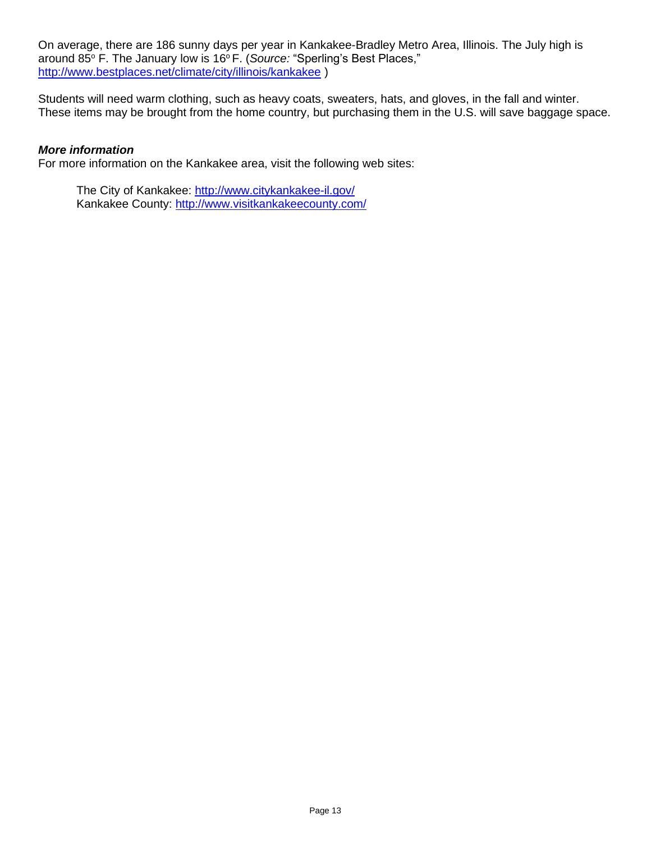On average, there are 186 sunny days per year in Kankakee-Bradley Metro Area, Illinois. The July high is around 85° F. The January low is 16° F. (Source: "Sperling's Best Places," <http://www.bestplaces.net/climate/city/illinois/kankakee> )

Students will need warm clothing, such as heavy coats, sweaters, hats, and gloves, in the fall and winter. These items may be brought from the home country, but purchasing them in the U.S. will save baggage space.

#### <span id="page-14-0"></span>*More information*

For more information on the Kankakee area, visit the following web sites:

The City of Kankakee:<http://www.citykankakee-il.gov/> Kankakee County:<http://www.visitkankakeecounty.com/>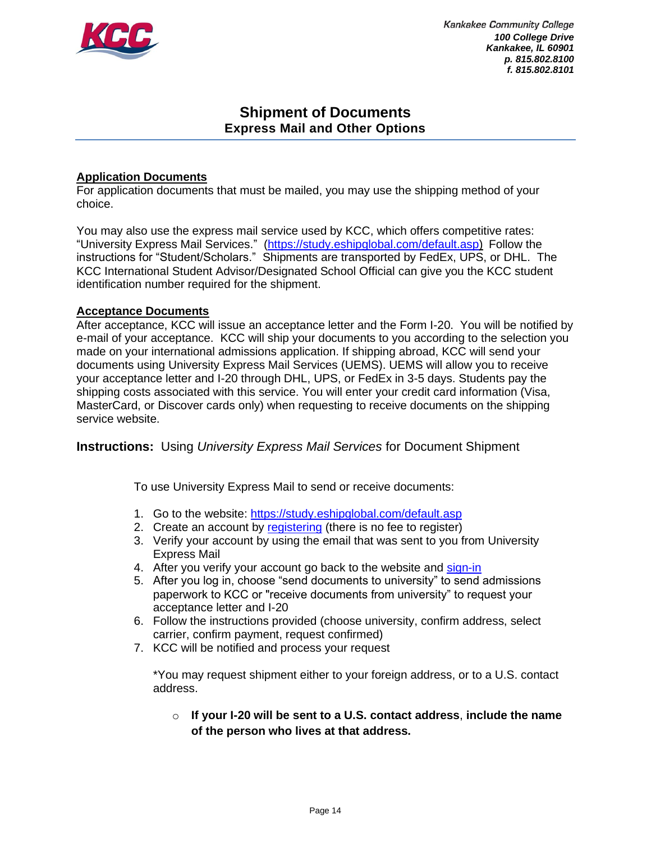

**Kankakee Community College** *100 College Drive Kankakee, IL 60901 p. 815.802.8100 f. 815.802.8101*

# **Shipment of Documents Express Mail and Other Options**

#### <span id="page-15-0"></span>**Application Documents**

For application documents that must be mailed, you may use the shipping method of your choice.

You may also use the express mail service used by KCC, which offers competitive rates: "University Express Mail Services." [\(https://study.eshipglobal.com/default.asp\)](https://study.eshipglobal.com/default.asp) Follow the instructions for "Student/Scholars." Shipments are transported by FedEx, UPS, or DHL. The KCC International Student Advisor/Designated School Official can give you the KCC student identification number required for the shipment.

#### **Acceptance Documents**

After acceptance, KCC will issue an acceptance letter and the Form I-20. You will be notified by e-mail of your acceptance. KCC will ship your documents to you according to the selection you made on your international admissions application. If shipping abroad, KCC will send your documents using University Express Mail Services (UEMS). UEMS will allow you to receive your acceptance letter and I-20 through DHL, UPS, or FedEx in 3-5 days. Students pay the shipping costs associated with this service. You will enter your credit card information (Visa, MasterCard, or Discover cards only) when requesting to receive documents on the shipping service website.

**Instructions:**Using *University Express Mail Services* for Document Shipment

To use University Express Mail to send or receive documents:

- 1. Go to the website:<https://study.eshipglobal.com/default.asp>
- 2. Create an account by [registering](https://study.eshipglobal.com/register/) (there is no fee to register)
- 3. Verify your account by using the email that was sent to you from University Express Mail
- 4. After you verify your account go back to the website and [sign-in](https://study.eshipglobal.com/slogin.asp)
- 5. After you log in, choose "send documents to university" to send admissions paperwork to KCC or "receive documents from university" to request your acceptance letter and I-20
- 6. Follow the instructions provided (choose university, confirm address, select carrier, confirm payment, request confirmed)
- 7. KCC will be notified and process your request

\*You may request shipment either to your foreign address, or to a U.S. contact address.

o **If your I-20 will be sent to a U.S. contact address**, **include the name of the person who lives at that address.**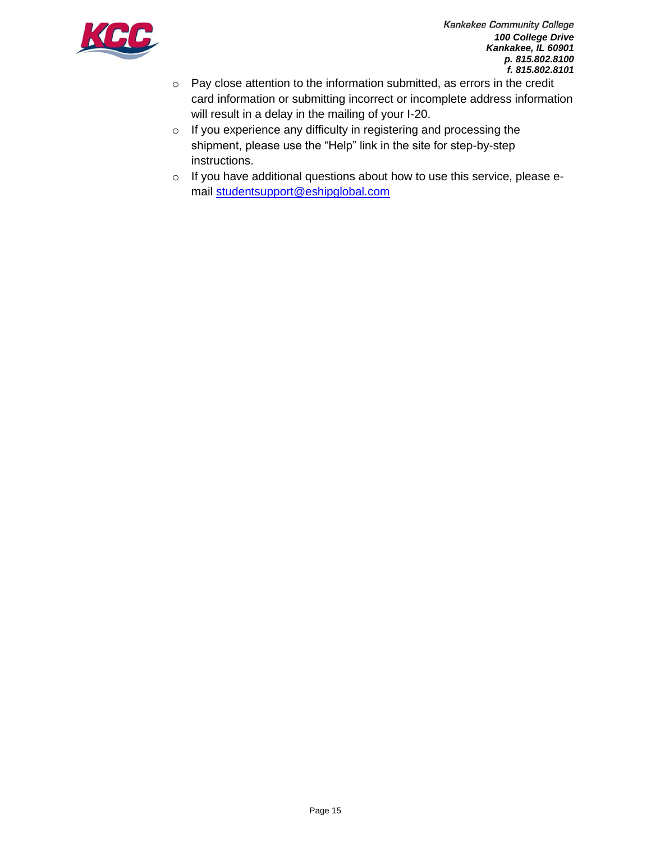

- o Pay close attention to the information submitted, as errors in the credit card information or submitting incorrect or incomplete address information will result in a delay in the mailing of your I-20.
- o If you experience any difficulty in registering and processing the shipment, please use the "Help" link in the site for step-by-step instructions.
- o If you have additional questions about how to use this service, please email [studentsupport@eshipglobal.com](mailto:studentsupport@eshipglobal.com)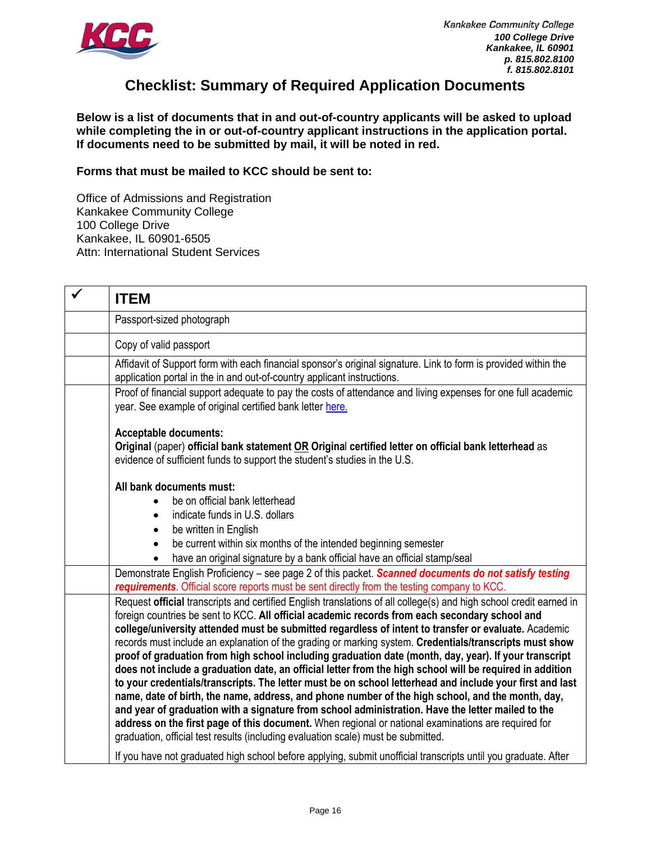

# **Checklist: Summary of Required Application Documents**

**Below is a list of documents that in and out-of-country applicants will be asked to upload while completing the in or out-of-country applicant instructions in the application portal. If documents need to be submitted by mail, it will be noted in red.**

**Forms that must be mailed to KCC should be sent to:**

Office of Admissions and Registration Kankakee Community College 100 College Drive Kankakee, IL 60901-6505 Attn: International Student Services

| $\checkmark$ | <b>ITEM</b>                                                                                                                                                                                                                                                                                                                                                                                                                                                                                                                                                                                                                                                                                                                                                                                                                                                                                                                                                                                                                                                                                                                                                                   |
|--------------|-------------------------------------------------------------------------------------------------------------------------------------------------------------------------------------------------------------------------------------------------------------------------------------------------------------------------------------------------------------------------------------------------------------------------------------------------------------------------------------------------------------------------------------------------------------------------------------------------------------------------------------------------------------------------------------------------------------------------------------------------------------------------------------------------------------------------------------------------------------------------------------------------------------------------------------------------------------------------------------------------------------------------------------------------------------------------------------------------------------------------------------------------------------------------------|
|              | Passport-sized photograph                                                                                                                                                                                                                                                                                                                                                                                                                                                                                                                                                                                                                                                                                                                                                                                                                                                                                                                                                                                                                                                                                                                                                     |
|              | Copy of valid passport                                                                                                                                                                                                                                                                                                                                                                                                                                                                                                                                                                                                                                                                                                                                                                                                                                                                                                                                                                                                                                                                                                                                                        |
|              | Affidavit of Support form with each financial sponsor's original signature. Link to form is provided within the<br>application portal in the in and out-of-country applicant instructions.                                                                                                                                                                                                                                                                                                                                                                                                                                                                                                                                                                                                                                                                                                                                                                                                                                                                                                                                                                                    |
|              | Proof of financial support adequate to pay the costs of attendance and living expenses for one full academic<br>year. See example of original certified bank letter here.                                                                                                                                                                                                                                                                                                                                                                                                                                                                                                                                                                                                                                                                                                                                                                                                                                                                                                                                                                                                     |
|              | <b>Acceptable documents:</b><br>Original (paper) official bank statement OR Original certified letter on official bank letterhead as<br>evidence of sufficient funds to support the student's studies in the U.S.                                                                                                                                                                                                                                                                                                                                                                                                                                                                                                                                                                                                                                                                                                                                                                                                                                                                                                                                                             |
|              | All bank documents must:<br>be on official bank letterhead<br>indicate funds in U.S. dollars<br>be written in English                                                                                                                                                                                                                                                                                                                                                                                                                                                                                                                                                                                                                                                                                                                                                                                                                                                                                                                                                                                                                                                         |
|              | be current within six months of the intended beginning semester<br>$\bullet$<br>have an original signature by a bank official have an official stamp/seal<br>$\bullet$                                                                                                                                                                                                                                                                                                                                                                                                                                                                                                                                                                                                                                                                                                                                                                                                                                                                                                                                                                                                        |
|              | Demonstrate English Proficiency - see page 2 of this packet. Scanned documents do not satisfy testing<br>requirements. Official score reports must be sent directly from the testing company to KCC.                                                                                                                                                                                                                                                                                                                                                                                                                                                                                                                                                                                                                                                                                                                                                                                                                                                                                                                                                                          |
|              | Request official transcripts and certified English translations of all college(s) and high school credit earned in<br>foreign countries be sent to KCC. All official academic records from each secondary school and<br>college/university attended must be submitted regardless of intent to transfer or evaluate. Academic<br>records must include an explanation of the grading or marking system. Credentials/transcripts must show<br>proof of graduation from high school including graduation date (month, day, year). If your transcript<br>does not include a graduation date, an official letter from the high school will be required in addition<br>to your credentials/transcripts. The letter must be on school letterhead and include your first and last<br>name, date of birth, the name, address, and phone number of the high school, and the month, day,<br>and year of graduation with a signature from school administration. Have the letter mailed to the<br>address on the first page of this document. When regional or national examinations are required for<br>graduation, official test results (including evaluation scale) must be submitted. |
|              | If you have not graduated high school before applying, submit unofficial transcripts until you graduate. After                                                                                                                                                                                                                                                                                                                                                                                                                                                                                                                                                                                                                                                                                                                                                                                                                                                                                                                                                                                                                                                                |